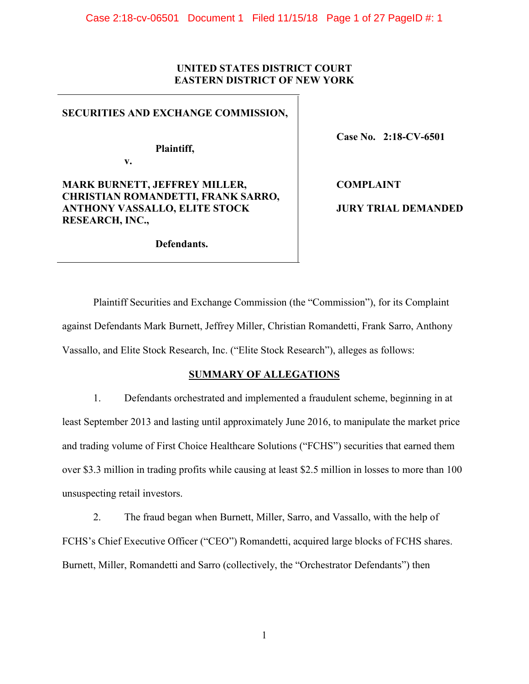# **UNITED STATES DISTRICT COURT EASTERN DISTRICT OF NEW YORK**

**SECURITIES AND EXCHANGE COMMISSION,** 

**Plaintiff,** 

**v.** 

 **CHRISTIAN ROMANDETTI, FRANK SARRO, ANTHONY VASSALLO, ELITE STOCK RESEARCH, INC., Defendants. MARK BURNETT, JEFFREY MILLER,** 

 **Case No. 2:18-CV-6501** 

**COMPLAINT** 

**JURY TRIAL DEMANDED** 

 against Defendants Mark Burnett, Jeffrey Miller, Christian Romandetti, Frank Sarro, Anthony Plaintiff Securities and Exchange Commission (the "Commission"), for its Complaint Vassallo, and Elite Stock Research, Inc. ("Elite Stock Research"), alleges as follows:

# **SUMMARY OF ALLEGATIONS**

 1. Defendants orchestrated and implemented a fraudulent scheme, beginning in at least September 2013 and lasting until approximately June 2016, to manipulate the market price and trading volume of First Choice Healthcare Solutions ("FCHS") securities that earned them over \$3.3 million in trading profits while causing at least \$2.5 million in losses to more than 100 unsuspecting retail investors.

 unsuspecting retail investors. 2. The fraud began when Burnett, Miller, Sarro, and Vassallo, with the help of FCHS's Chief Executive Officer ("CEO") Romandetti, acquired large blocks of FCHS shares. Burnett, Miller, Romandetti and Sarro (collectively, the "Orchestrator Defendants") then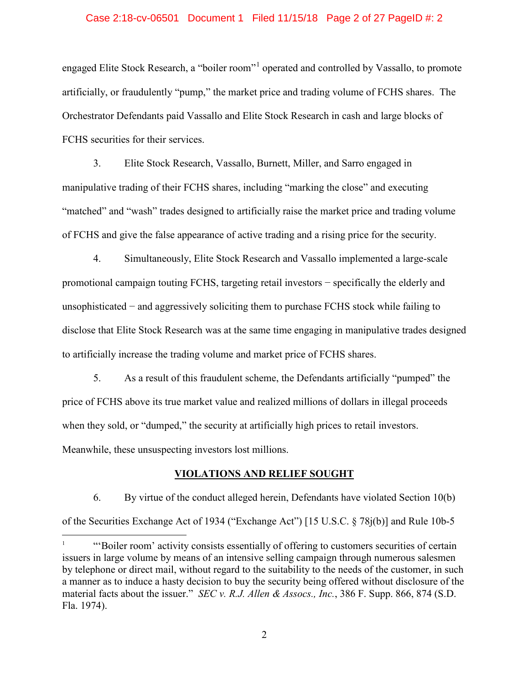#### Case 2:18-cv-06501 Document 1 Filed 11/15/18 Page 2 of 27 PageID #: 2

 artificially, or fraudulently "pump," the market price and trading volume of FCHS shares. The Orchestrator Defendants paid Vassallo and Elite Stock Research in cash and large blocks of FCHS securities for their services. FCHS securities for their services.<br>3. Elite Stock Research, Vassallo, Burnett, Miller, and Sarro engaged in engaged Elite Stock Research, a "boiler room"<sup>1</sup> operated and controlled by Vassallo, to promote

 manipulative trading of their FCHS shares, including "marking the close" and executing "matched" and "wash" trades designed to artificially raise the market price and trading volume of FCHS and give the false appearance of active trading and a rising price for the security.

 unsophisticated − and aggressively soliciting them to purchase FCHS stock while failing to disclose that Elite Stock Research was at the same time engaging in manipulative trades designed to artificially increase the trading volume and market price of FCHS shares. 4. Simultaneously, Elite Stock Research and Vassallo implemented a large-scale promotional campaign touting FCHS, targeting retail investors − specifically the elderly and

 5. As a result of this fraudulent scheme, the Defendants artificially "pumped" the price of FCHS above its true market value and realized millions of dollars in illegal proceeds Meanwhile, these unsuspecting investors lost millions. when they sold, or "dumped," the security at artificially high prices to retail investors.

## **VIOLATIONS AND RELIEF SOUGHT**

 6. By virtue of the conduct alleged herein, Defendants have violated Section 10(b) of the Securities Exchange Act of 1934 ("Exchange Act") [15 U.S.C. § 78j(b)] and Rule 10b-5

 $\overline{a}$ 

<span id="page-1-0"></span> material facts about the issuer." *SEC v. R.J. Allen & Assocs., Inc.*, 386 F. Supp. 866, 874 (S.D. "'Boiler room' activity consists essentially of offering to customers securities of certain issuers in large volume by means of an intensive selling campaign through numerous salesmen by telephone or direct mail, without regard to the suitability to the needs of the customer, in such a manner as to induce a hasty decision to buy the security being offered without disclosure of the Fla. 1974). 1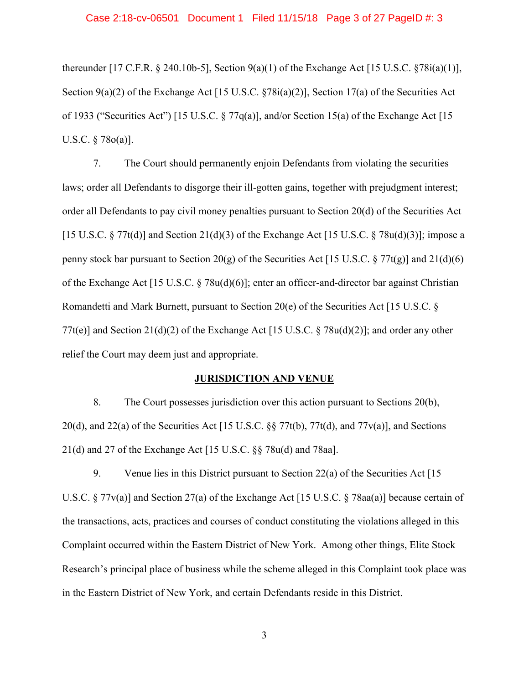#### Case 2:18-cv-06501 Document 1 Filed 11/15/18 Page 3 of 27 PageID #: 3

thereunder [17 C.F.R. § 240.10b-5], Section 9(a)(1) of the Exchange Act [15 U.S.C. §78i(a)(1)], Section 9(a)(2) of the Exchange Act [15 U.S.C. §78i(a)(2)], Section 17(a) of the Securities Act of 1933 ("Securities Act") [15 U.S.C. § 77q(a)], and/or Section 15(a) of the Exchange Act [15 U.S.C. § 78o(a)].

 of the Exchange Act [15 U.S.C. § 78u(d)(6)]; enter an officer-and-director bar against Christian 7. The Court should permanently enjoin Defendants from violating the securities laws; order all Defendants to disgorge their ill-gotten gains, together with prejudgment interest; order all Defendants to pay civil money penalties pursuant to Section 20(d) of the Securities Act [15 U.S.C.  $\S 77t(d)$ ] and Section 21(d)(3) of the Exchange Act [15 U.S.C.  $\S 78u(d)(3)$ ]; impose a penny stock bar pursuant to Section 20(g) of the Securities Act [15 U.S.C.  $\S 77t(g)$ ] and 21(d)(6) Romandetti and Mark Burnett, pursuant to Section 20(e) of the Securities Act [15 U.S.C. § 77t(e)] and Section 21(d)(2) of the Exchange Act [15 U.S.C. § 78u(d)(2)]; and order any other relief the Court may deem just and appropriate.

#### **JURISDICTION AND VENUE**

8. The Court possesses jurisdiction over this action pursuant to Sections 20(b), 20(d), and 22(a) of the Securities Act [15 U.S.C.  $\S$  77t(b), 77t(d), and 77v(a)], and Sections 21(d) and 27 of the Exchange Act [15 U.S.C. §§ 78u(d) and 78aa].

 Research's principal place of business while the scheme alleged in this Complaint took place was 9. Venue lies in this District pursuant to Section 22(a) of the Securities Act [15 U.S.C. § 77v(a)] and Section 27(a) of the Exchange Act [15 U.S.C. § 78aa(a)] because certain of the transactions, acts, practices and courses of conduct constituting the violations alleged in this Complaint occurred within the Eastern District of New York. Among other things, Elite Stock in the Eastern District of New York, and certain Defendants reside in this District.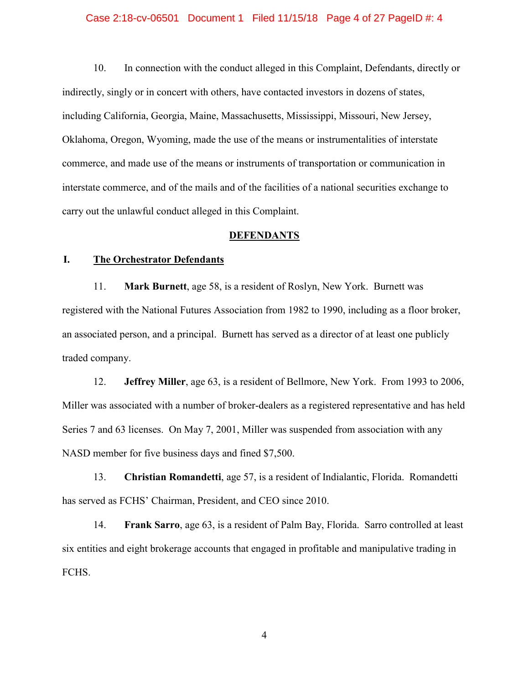## Case 2:18-cv-06501 Document 1 Filed 11/15/18 Page 4 of 27 PageID #: 4

 carry out the unlawful conduct alleged in this Complaint. 10. In connection with the conduct alleged in this Complaint, Defendants, directly or indirectly, singly or in concert with others, have contacted investors in dozens of states, including California, Georgia, Maine, Massachusetts, Mississippi, Missouri, New Jersey, Oklahoma, Oregon, Wyoming, made the use of the means or instrumentalities of interstate commerce, and made use of the means or instruments of transportation or communication in interstate commerce, and of the mails and of the facilities of a national securities exchange to

# **DEFENDANTS**

# **I.** The Orchestrator Defendants

 an associated person, and a principal. Burnett has served as a director of at least one publicly 11. **Mark Burnett**, age 58, is a resident of Roslyn, New York. Burnett was registered with the National Futures Association from 1982 to 1990, including as a floor broker, traded company.

12. **Jeffrey Miller**, age 63, is a resident of Bellmore, New York. From 1993 to 2006, Miller was associated with a number of broker-dealers as a registered representative and has held Series 7 and 63 licenses. On May 7, 2001, Miller was suspended from association with any NASD member for five business days and fined \$7,500.

 has served as FCHS' Chairman, President, and CEO since 2010. 13. **Christian Romandetti**, age 57, is a resident of Indialantic, Florida. Romandetti

 14. **Frank Sarro**, age 63, is a resident of Palm Bay, Florida. Sarro controlled at least FCHS. six entities and eight brokerage accounts that engaged in profitable and manipulative trading in FCHS.<br>4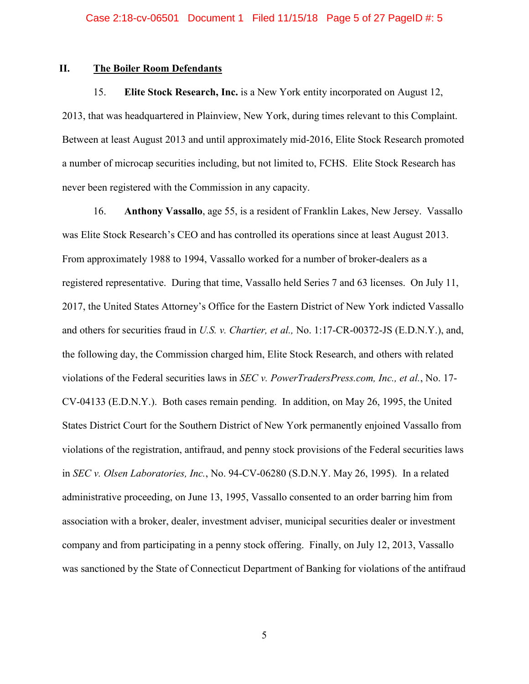# **II. The Boiler Room Defendants**

 2013, that was headquartered in Plainview, New York, during times relevant to this Complaint. Between at least August 2013 and until approximately mid-2016, Elite Stock Research promoted 15. **Elite Stock Research, Inc.** is a New York entity incorporated on August 12, a number of microcap securities including, but not limited to, FCHS. Elite Stock Research has never been registered with the Commission in any capacity.

was Elite Stock Research's CEO and has controlled its operations since at least August 2013. the following day, the Commission charged him, Elite Stock Research, and others with related CV-04133 (E.D.N.Y.). Both cases remain pending. In addition, on May 26, 1995, the United 16. **Anthony Vassallo**, age 55, is a resident of Franklin Lakes, New Jersey. Vassallo From approximately 1988 to 1994, Vassallo worked for a number of broker-dealers as a registered representative. During that time, Vassallo held Series 7 and 63 licenses. On July 11, 2017, the United States Attorney's Office for the Eastern District of New York indicted Vassallo and others for securities fraud in *U.S. v. Chartier, et al.,* No. 1:17-CR-00372-JS (E.D.N.Y.), and, violations of the Federal securities laws in *SEC v. [PowerTradersPress.com](https://PowerTradersPress.com), Inc., et al.*, No. 17- States District Court for the Southern District of New York permanently enjoined Vassallo from violations of the registration, antifraud, and penny stock provisions of the Federal securities laws in *SEC v. Olsen Laboratories, Inc.*, No. 94-CV-06280 (S.D.N.Y. May 26, 1995). In a related administrative proceeding, on June 13, 1995, Vassallo consented to an order barring him from association with a broker, dealer, investment adviser, municipal securities dealer or investment company and from participating in a penny stock offering. Finally, on July 12, 2013, Vassallo was sanctioned by the State of Connecticut Department of Banking for violations of the antifraud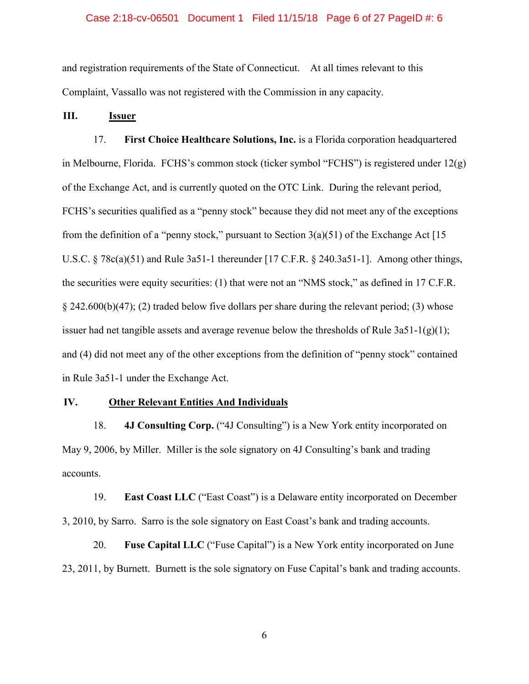#### Case 2:18-cv-06501 Document 1 Filed 11/15/18 Page 6 of 27 PageID #: 6

and registration requirements of the State of Connecticut. At all times relevant to this Complaint, Vassallo was not registered with the Commission in any capacity.

## **III. Issuer**

from the definition of a "penny stock," pursuant to Section  $3(a)(51)$  of the Exchange Act [15] issuer had net tangible assets and average revenue below the thresholds of Rule  $3a51-1(g)(1)$ ; 17. **First Choice Healthcare Solutions, Inc.** is a Florida corporation headquartered in Melbourne, Florida. FCHS's common stock (ticker symbol "FCHS") is registered under 12(g) of the Exchange Act, and is currently quoted on the OTC Link. During the relevant period, FCHS's securities qualified as a "penny stock" because they did not meet any of the exceptions U.S.C. § 78c(a)(51) and Rule 3a51-1 thereunder [17 C.F.R. § 240.3a51-1]. Among other things, the securities were equity securities: (1) that were not an "NMS stock," as defined in 17 C.F.R. § 242.600(b)(47); (2) traded below five dollars per share during the relevant period; (3) whose and (4) did not meet any of the other exceptions from the definition of "penny stock" contained in Rule 3a51-1 under the Exchange Act.

## **IV. Other Relevant Entities And Individuals**

18. **4J Consulting Corp.** ("4J Consulting") is a New York entity incorporated on May 9, 2006, by Miller. Miller is the sole signatory on 4J Consulting's bank and trading accounts.

19. **East Coast LLC** ("East Coast") is a Delaware entity incorporated on December 3, 2010, by Sarro. Sarro is the sole signatory on East Coast's bank and trading accounts.

 23, 2011, by Burnett. Burnett is the sole signatory on Fuse Capital's bank and trading accounts. 20. **Fuse Capital LLC** ("Fuse Capital") is a New York entity incorporated on June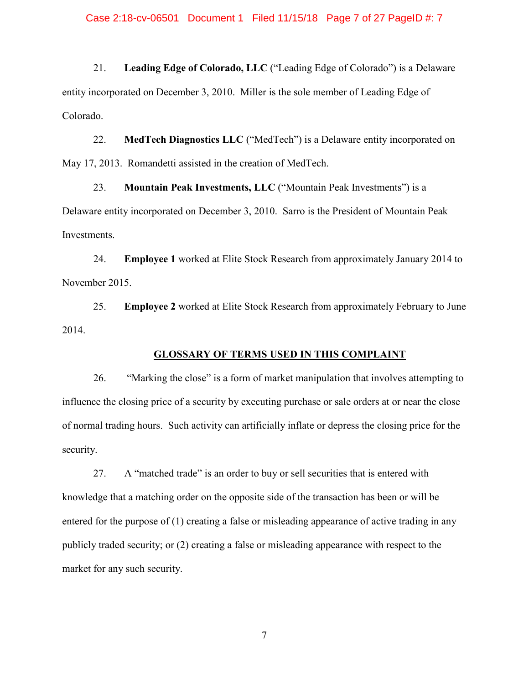21. **Leading Edge of Colorado, LLC** ("Leading Edge of Colorado") is a Delaware entity incorporated on December 3, 2010. Miller is the sole member of Leading Edge of Colorado.

 May 17, 2013. Romandetti assisted in the creation of MedTech. 22. **MedTech Diagnostics LLC** ("MedTech") is a Delaware entity incorporated on

23. **Mountain Peak Investments, LLC** ("Mountain Peak Investments") is a Delaware entity incorporated on December 3, 2010. Sarro is the President of Mountain Peak Investments.

24. **Employee 1** worked at Elite Stock Research from approximately January 2014 to November 2015.

 25. **Employee 2** worked at Elite Stock Research from approximately February to June 2014.

## **GLOSSARY OF TERMS USED IN THIS COMPLAINT**

 26. "Marking the close" is a form of market manipulation that involves attempting to influence the closing price of a security by executing purchase or sale orders at or near the close of normal trading hours. Such activity can artificially inflate or depress the closing price for the security.

27. A "matched trade" is an order to buy or sell securities that is entered with knowledge that a matching order on the opposite side of the transaction has been or will be entered for the purpose of (1) creating a false or misleading appearance of active trading in any publicly traded security; or (2) creating a false or misleading appearance with respect to the market for any such security.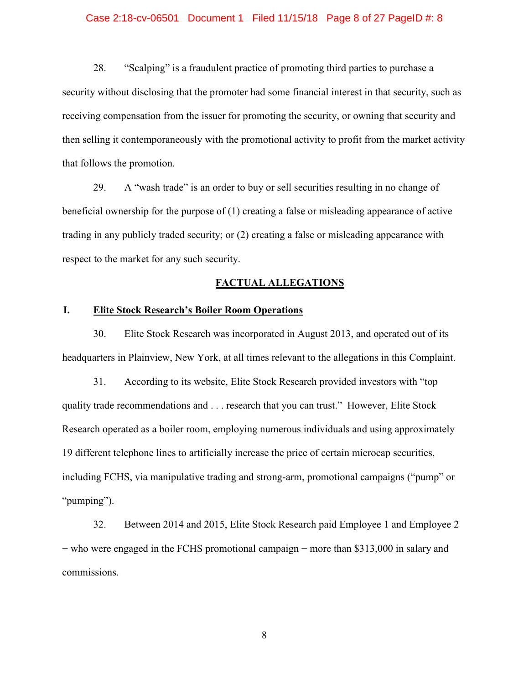#### Case 2:18-cv-06501 Document 1 Filed 11/15/18 Page 8 of 27 PageID #: 8

 that follows the promotion. 28. "Scalping" is a fraudulent practice of promoting third parties to purchase a security without disclosing that the promoter had some financial interest in that security, such as receiving compensation from the issuer for promoting the security, or owning that security and then selling it contemporaneously with the promotional activity to profit from the market activity

 29. A "wash trade" is an order to buy or sell securities resulting in no change of respect to the market for any such security. beneficial ownership for the purpose of (1) creating a false or misleading appearance of active trading in any publicly traded security; or (2) creating a false or misleading appearance with

## **FACTUAL ALLEGATIONS**

# **I. Elite Stock Research's Boiler Room Operations**

 30. Elite Stock Research was incorporated in August 2013, and operated out of its headquarters in Plainview, New York, at all times relevant to the allegations in this Complaint.

31. According to its website, Elite Stock Research provided investors with "top quality trade recommendations and . . . research that you can trust." However, Elite Stock Research operated as a boiler room, employing numerous individuals and using approximately 19 different telephone lines to artificially increase the price of certain microcap securities, including FCHS, via manipulative trading and strong-arm, promotional campaigns ("pump" or "pumping").

32. Between 2014 and 2015, Elite Stock Research paid Employee 1 and Employee 2 − who were engaged in the FCHS promotional campaign − more than \$313,000 in salary and commissions.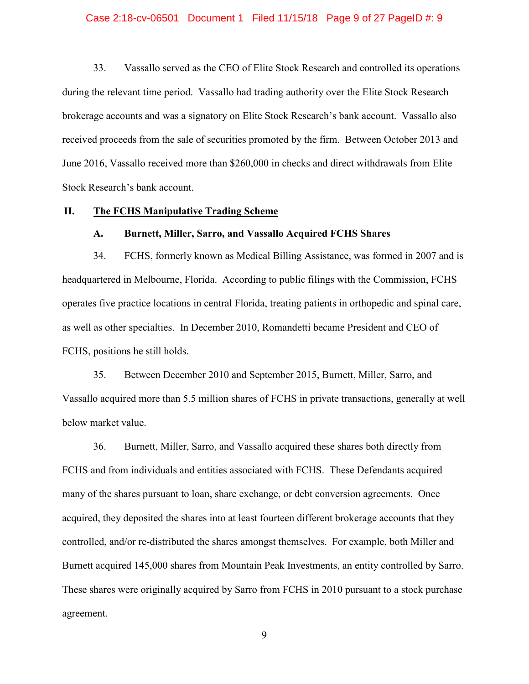## Case 2:18-cv-06501 Document 1 Filed 11/15/18 Page 9 of 27 PageID #: 9

 33. Vassallo served as the CEO of Elite Stock Research and controlled its operations received proceeds from the sale of securities promoted by the firm. Between October 2013 and during the relevant time period. Vassallo had trading authority over the Elite Stock Research brokerage accounts and was a signatory on Elite Stock Research's bank account. Vassallo also June 2016, Vassallo received more than \$260,000 in checks and direct withdrawals from Elite Stock Research's bank account.

## **II. The FCHS Manipulative Trading Scheme**

## **A. Burnett, Miller, Sarro, and Vassallo Acquired FCHS Shares**

 34. FCHS, formerly known as Medical Billing Assistance, was formed in 2007 and is as well as other specialties. In December 2010, Romandetti became President and CEO of FCHS, positions he still holds. headquartered in Melbourne, Florida. According to public filings with the Commission, FCHS operates five practice locations in central Florida, treating patients in orthopedic and spinal care,

 Vassallo acquired more than 5.5 million shares of FCHS in private transactions, generally at well below market value. 35. Between December 2010 and September 2015, Burnett, Miller, Sarro, and

 36. Burnett, Miller, Sarro, and Vassallo acquired these shares both directly from acquired, they deposited the shares into at least fourteen different brokerage accounts that they controlled, and/or re-distributed the shares amongst themselves. For example, both Miller and Burnett acquired 145,000 shares from Mountain Peak Investments, an entity controlled by Sarro. These shares were originally acquired by Sarro from FCHS in 2010 pursuant to a stock purchase FCHS and from individuals and entities associated with FCHS. These Defendants acquired many of the shares pursuant to loan, share exchange, or debt conversion agreements. Once agreement.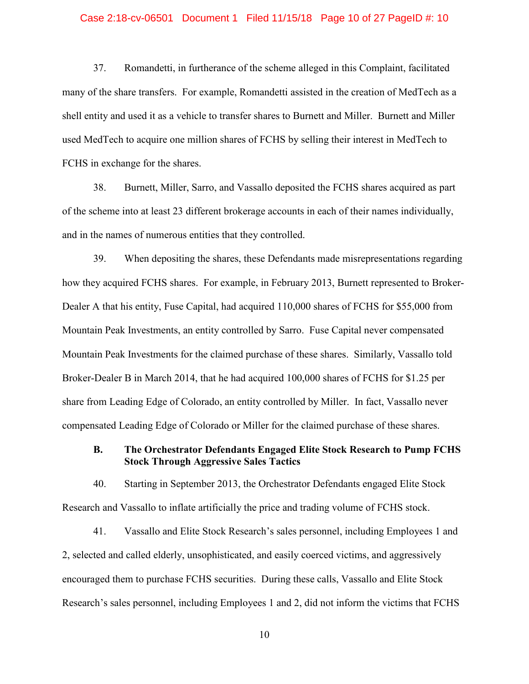#### Case 2:18-cv-06501 Document 1 Filed 11/15/18 Page 10 of 27 PageID #: 10

 37. Romandetti, in furtherance of the scheme alleged in this Complaint, facilitated many of the share transfers. For example, Romandetti assisted in the creation of MedTech as a shell entity and used it as a vehicle to transfer shares to Burnett and Miller. Burnett and Miller used MedTech to acquire one million shares of FCHS by selling their interest in MedTech to FCHS in exchange for the shares. FCHS in exchange for the shares. 38. Burnett, Miller, Sarro, and Vassallo deposited the FCHS shares acquired as part

 of the scheme into at least 23 different brokerage accounts in each of their names individually, and in the names of numerous entities that they controlled.

 how they acquired FCHS shares. For example, in February 2013, Burnett represented to Broker- Mountain Peak Investments for the claimed purchase of these shares. Similarly, Vassallo told 39. When depositing the shares, these Defendants made misrepresentations regarding Dealer A that his entity, Fuse Capital, had acquired 110,000 shares of FCHS for \$55,000 from Mountain Peak Investments, an entity controlled by Sarro. Fuse Capital never compensated Broker-Dealer B in March 2014, that he had acquired 100,000 shares of FCHS for \$1.25 per share from Leading Edge of Colorado, an entity controlled by Miller. In fact, Vassallo never compensated Leading Edge of Colorado or Miller for the claimed purchase of these shares.

# **B. The Orchestrator Defendants Engaged Elite Stock Research to Pump FCHS Stock Through Aggressive Sales Tactics**

40. Starting in September 2013, the Orchestrator Defendants engaged Elite Stock Research and Vassallo to inflate artificially the price and trading volume of FCHS stock.

 2, selected and called elderly, unsophisticated, and easily coerced victims, and aggressively encouraged them to purchase FCHS securities. During these calls, Vassallo and Elite Stock 41. Vassallo and Elite Stock Research's sales personnel, including Employees 1 and Research's sales personnel, including Employees 1 and 2, did not inform the victims that FCHS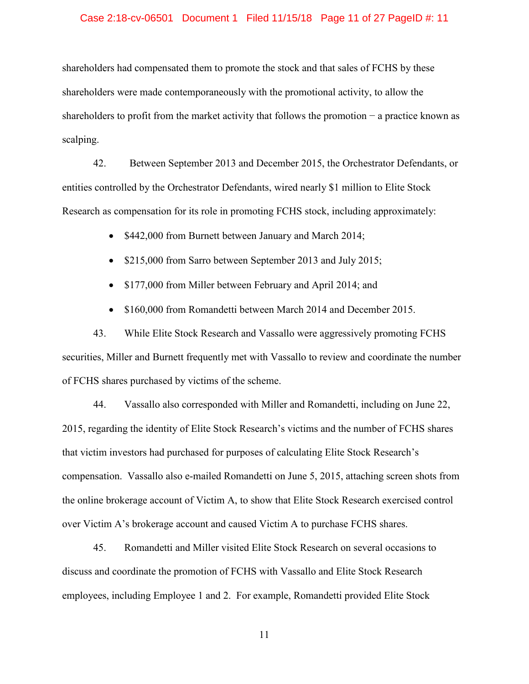#### Case 2:18-cv-06501 Document 1 Filed 11/15/18 Page 11 of 27 PageID #: 11

 shareholders had compensated them to promote the stock and that sales of FCHS by these shareholders were made contemporaneously with the promotional activity, to allow the shareholders to profit from the market activity that follows the promotion − a practice known as scalping.

 Research as compensation for its role in promoting FCHS stock, including approximately: 42. Between September 2013 and December 2015, the Orchestrator Defendants, or entities controlled by the Orchestrator Defendants, wired nearly \$1 million to Elite Stock

- \$442,000 from Burnett between January and March 2014;
- \$215,000 from Sarro between September 2013 and July 2015;
- \$177,000 from Miller between February and April 2014; and
- \$160,000 from Romandetti between March 2014 and December 2015.

 securities, Miller and Burnett frequently met with Vassallo to review and coordinate the number 43. While Elite Stock Research and Vassallo were aggressively promoting FCHS of FCHS shares purchased by victims of the scheme.

 44. Vassallo also corresponded with Miller and Romandetti, including on June 22, that victim investors had purchased for purposes of calculating Elite Stock Research's compensation. Vassallo also e-mailed Romandetti on June 5, 2015, attaching screen shots from the online brokerage account of Victim A, to show that Elite Stock Research exercised control 2015, regarding the identity of Elite Stock Research's victims and the number of FCHS shares over Victim A's brokerage account and caused Victim A to purchase FCHS shares.

45. Romandetti and Miller visited Elite Stock Research on several occasions to discuss and coordinate the promotion of FCHS with Vassallo and Elite Stock Research employees, including Employee 1 and 2. For example, Romandetti provided Elite Stock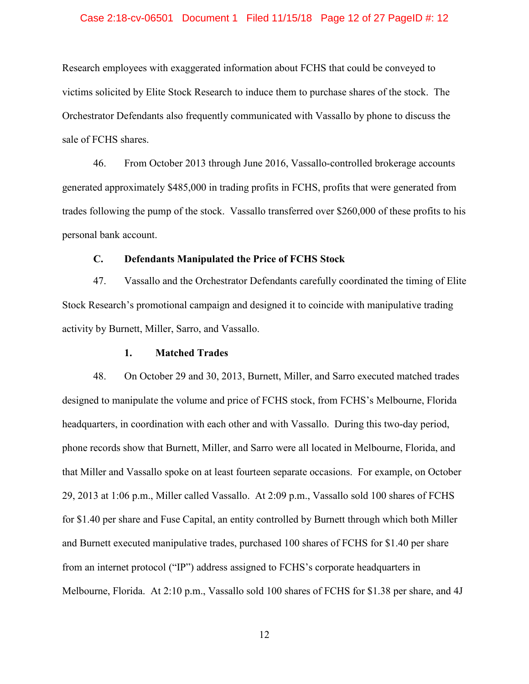#### Case 2:18-cv-06501 Document 1 Filed 11/15/18 Page 12 of 27 PageID #: 12

 Research employees with exaggerated information about FCHS that could be conveyed to Orchestrator Defendants also frequently communicated with Vassallo by phone to discuss the sale of FCHS shares. victims solicited by Elite Stock Research to induce them to purchase shares of the stock. The

46. From October 2013 through June 2016, Vassallo-controlled brokerage accounts generated approximately \$485,000 in trading profits in FCHS, profits that were generated from trades following the pump of the stock. Vassallo transferred over \$260,000 of these profits to his personal bank account.

## **C. Defendants Manipulated the Price of FCHS Stock**

 47. Vassallo and the Orchestrator Defendants carefully coordinated the timing of Elite Stock Research's promotional campaign and designed it to coincide with manipulative trading activity by Burnett, Miller, Sarro, and Vassallo.

## **1. Matched Trades**

 headquarters, in coordination with each other and with Vassallo. During this two-day period, that Miller and Vassallo spoke on at least fourteen separate occasions. For example, on October 29, 2013 at 1:06 p.m., Miller called Vassallo. At 2:09 p.m., Vassallo sold 100 shares of FCHS for \$1.40 per share and Fuse Capital, an entity controlled by Burnett through which both Miller from an internet protocol ("IP") address assigned to FCHS's corporate headquarters in Melbourne, Florida. At 2:10 p.m., Vassallo sold 100 shares of FCHS for \$1.38 per share, and 4J 48. On October 29 and 30, 2013, Burnett, Miller, and Sarro executed matched trades designed to manipulate the volume and price of FCHS stock, from FCHS's Melbourne, Florida phone records show that Burnett, Miller, and Sarro were all located in Melbourne, Florida, and and Burnett executed manipulative trades, purchased 100 shares of FCHS for \$1.40 per share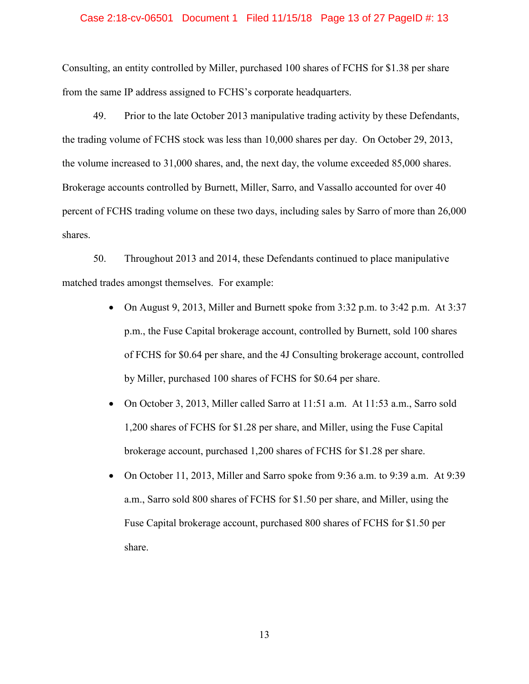#### Case 2:18-cv-06501 Document 1 Filed 11/15/18 Page 13 of 27 PageID #: 13

Consulting, an entity controlled by Miller, purchased 100 shares of FCHS for \$1.38 per share from the same IP address assigned to FCHS's corporate headquarters.

shares. 49. Prior to the late October 2013 manipulative trading activity by these Defendants, the trading volume of FCHS stock was less than 10,000 shares per day. On October 29, 2013, the volume increased to 31,000 shares, and, the next day, the volume exceeded 85,000 shares. Brokerage accounts controlled by Burnett, Miller, Sarro, and Vassallo accounted for over 40 percent of FCHS trading volume on these two days, including sales by Sarro of more than 26,000

 matched trades amongst themselves. For example: 50. Throughout 2013 and 2014, these Defendants continued to place manipulative

- On August 9, 2013, Miller and Burnett spoke from 3:32 p.m. to 3:42 p.m. At 3:37 p.m., the Fuse Capital brokerage account, controlled by Burnett, sold 100 shares of FCHS for \$0.64 per share, and the 4J Consulting brokerage account, controlled by Miller, purchased 100 shares of FCHS for \$0.64 per share.
- On October 3, 2013, Miller called Sarro at 11:51 a.m. At 11:53 a.m., Sarro sold 1,200 shares of FCHS for \$1.28 per share, and Miller, using the Fuse Capital brokerage account, purchased 1,200 shares of FCHS for \$1.28 per share.
- • On October 11, 2013, Miller and Sarro spoke from 9:36 a.m. to 9:39 a.m. At 9:39 a.m., Sarro sold 800 shares of FCHS for \$1.50 per share, and Miller, using the Fuse Capital brokerage account, purchased 800 shares of FCHS for \$1.50 per share.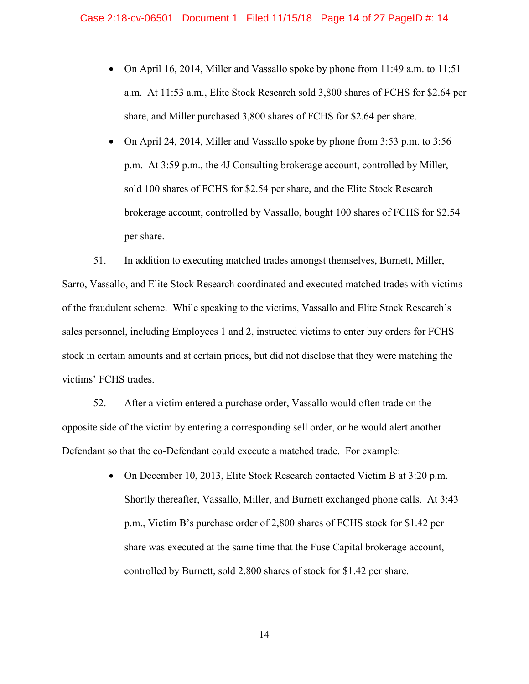- On April 16, 2014, Miller and Vassallo spoke by phone from 11:49 a.m. to 11:51 a.m. At 11:53 a.m., Elite Stock Research sold 3,800 shares of FCHS for \$2.64 per share, and Miller purchased 3,800 shares of FCHS for \$2.64 per share.
- • On April 24, 2014, Miller and Vassallo spoke by phone from 3:53 p.m. to 3:56 sold 100 shares of FCHS for \$2.54 per share, and the Elite Stock Research brokerage account, controlled by Vassallo, bought 100 shares of FCHS for \$2.54 p.m. At 3:59 p.m., the 4J Consulting brokerage account, controlled by Miller, per share.

 Sarro, Vassallo, and Elite Stock Research coordinated and executed matched trades with victims of the fraudulent scheme. While speaking to the victims, Vassallo and Elite Stock Research's 51. In addition to executing matched trades amongst themselves, Burnett, Miller, sales personnel, including Employees 1 and 2, instructed victims to enter buy orders for FCHS stock in certain amounts and at certain prices, but did not disclose that they were matching the victims' FCHS trades.

 52. After a victim entered a purchase order, Vassallo would often trade on the opposite side of the victim by entering a corresponding sell order, or he would alert another Defendant so that the co-Defendant could execute a matched trade. For example:

> • On December 10, 2013, Elite Stock Research contacted Victim B at 3:20 p.m. Shortly thereafter, Vassallo, Miller, and Burnett exchanged phone calls. At 3:43 p.m., Victim B's purchase order of 2,800 shares of FCHS stock for \$1.42 per share was executed at the same time that the Fuse Capital brokerage account, controlled by Burnett, sold 2,800 shares of stock for \$1.42 per share.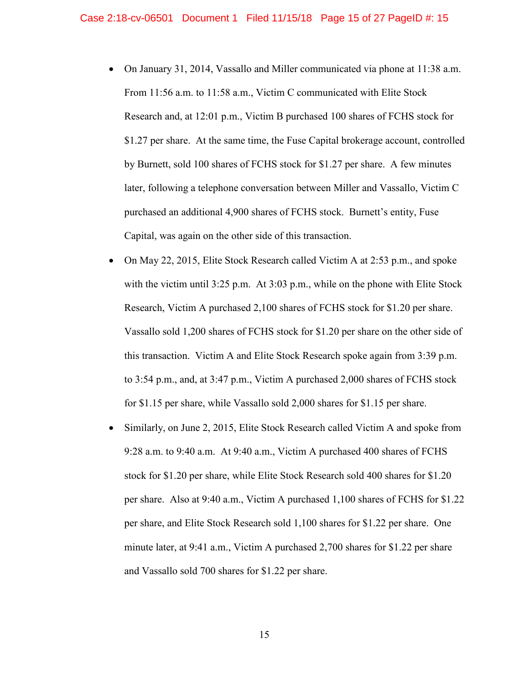- On January 31, 2014, Vassallo and Miller communicated via phone at 11:38 a.m. From 11:56 a.m. to 11:58 a.m., Victim C communicated with Elite Stock Research and, at 12:01 p.m., Victim B purchased 100 shares of FCHS stock for \$1.27 per share. At the same time, the Fuse Capital brokerage account, controlled by Burnett, sold 100 shares of FCHS stock for \$1.27 per share. A few minutes later, following a telephone conversation between Miller and Vassallo, Victim C purchased an additional 4,900 shares of FCHS stock. Burnett's entity, Fuse Capital, was again on the other side of this transaction.
- Research, Victim A purchased 2,100 shares of FCHS stock for \$1.20 per share. Vassallo sold 1,200 shares of FCHS stock for \$1.20 per share on the other side of this transaction. Victim A and Elite Stock Research spoke again from 3:39 p.m. for \$1.15 per share, while Vassallo sold 2,000 shares for \$1.15 per share. • On May 22, 2015, Elite Stock Research called Victim A at 2:53 p.m., and spoke with the victim until 3:25 p.m. At 3:03 p.m., while on the phone with Elite Stock to 3:54 p.m., and, at 3:47 p.m., Victim A purchased 2,000 shares of FCHS stock
- • Similarly, on June 2, 2015, Elite Stock Research called Victim A and spoke from 9:28 a.m. to 9:40 a.m. At 9:40 a.m., Victim A purchased 400 shares of FCHS stock for \$1.20 per share, while Elite Stock Research sold 400 shares for \$1.20 per share. Also at 9:40 a.m., Victim A purchased 1,100 shares of FCHS for \$1.22 per share, and Elite Stock Research sold 1,100 shares for \$1.22 per share. One minute later, at 9:41 a.m., Victim A purchased 2,700 shares for \$1.22 per share and Vassallo sold 700 shares for \$1.22 per share.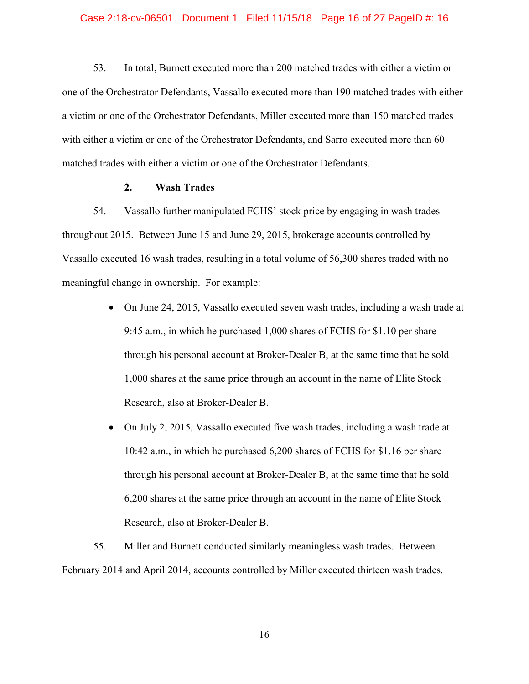#### Case 2:18-cv-06501 Document 1 Filed 11/15/18 Page 16 of 27 PageID #: 16

 53. In total, Burnett executed more than 200 matched trades with either a victim or one of the Orchestrator Defendants, Vassallo executed more than 190 matched trades with either a victim or one of the Orchestrator Defendants, Miller executed more than 150 matched trades with either a victim or one of the Orchestrator Defendants, and Sarro executed more than 60 matched trades with either a victim or one of the Orchestrator Defendants.

# **2. Wash Trades**

 Vassallo executed 16 wash trades, resulting in a total volume of 56,300 shares traded with no meaningful change in ownership. For example: 54. Vassallo further manipulated FCHS' stock price by engaging in wash trades throughout 2015. Between June 15 and June 29, 2015, brokerage accounts controlled by

- On June 24, 2015, Vassallo executed seven wash trades, including a wash trade at 9:45 a.m., in which he purchased 1,000 shares of FCHS for \$1.10 per share through his personal account at Broker-Dealer B, at the same time that he sold 1,000 shares at the same price through an account in the name of Elite Stock Research, also at Broker-Dealer B.
- On July 2, 2015, Vassallo executed five wash trades, including a wash trade at 10:42 a.m., in which he purchased 6,200 shares of FCHS for \$1.16 per share through his personal account at Broker-Dealer B, at the same time that he sold 6,200 shares at the same price through an account in the name of Elite Stock Research, also at Broker-Dealer B.

 55. Miller and Burnett conducted similarly meaningless wash trades. Between February 2014 and April 2014, accounts controlled by Miller executed thirteen wash trades.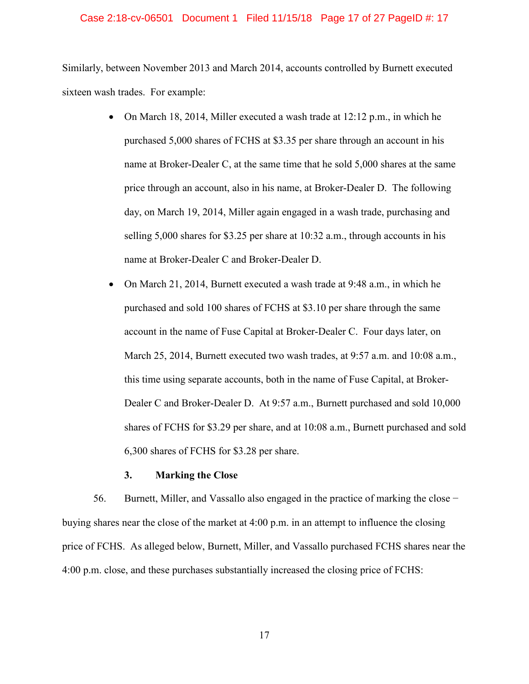#### Case 2:18-cv-06501 Document 1 Filed 11/15/18 Page 17 of 27 PageID #: 17

 sixteen wash trades. For example: Similarly, between November 2013 and March 2014, accounts controlled by Burnett executed

- On March 18, 2014, Miller executed a wash trade at 12:12 p.m., in which he purchased 5,000 shares of FCHS at \$3.35 per share through an account in his name at Broker-Dealer C, at the same time that he sold 5,000 shares at the same price through an account, also in his name, at Broker-Dealer D. The following day, on March 19, 2014, Miller again engaged in a wash trade, purchasing and selling 5,000 shares for \$3.25 per share at 10:32 a.m., through accounts in his name at Broker-Dealer C and Broker-Dealer D.
- March 25, 2014, Burnett executed two wash trades, at 9:57 a.m. and 10:08 a.m., 6,300 shares of FCHS for \$3.28 per share. • On March 21, 2014, Burnett executed a wash trade at 9:48 a.m., in which he purchased and sold 100 shares of FCHS at \$3.10 per share through the same account in the name of Fuse Capital at Broker-Dealer C. Four days later, on this time using separate accounts, both in the name of Fuse Capital, at Broker-Dealer C and Broker-Dealer D. At 9:57 a.m., Burnett purchased and sold 10,000 shares of FCHS for \$3.29 per share, and at 10:08 a.m., Burnett purchased and sold

## **3. Marking the Close**

 56. Burnett, Miller, and Vassallo also engaged in the practice of marking the close − price of FCHS. As alleged below, Burnett, Miller, and Vassallo purchased FCHS shares near the 4:00 p.m. close, and these purchases substantially increased the closing price of FCHS: buying shares near the close of the market at 4:00 p.m. in an attempt to influence the closing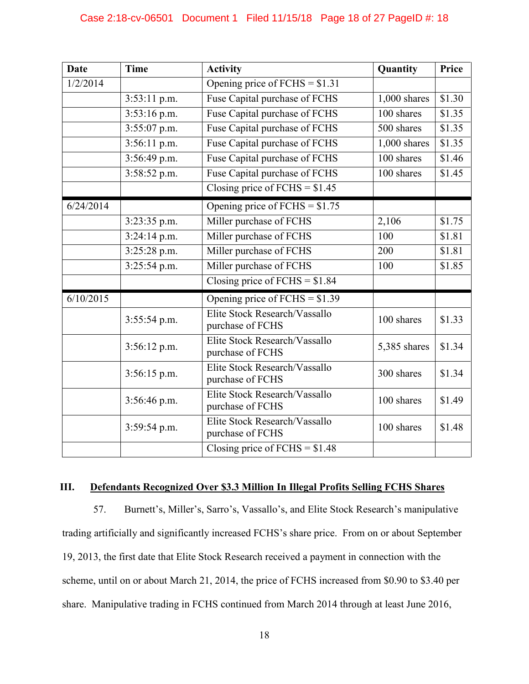# Case 2:18-cv-06501 Document 1 Filed 11/15/18 Page 18 of 27 PageID #: 18

| <b>Date</b>        | <b>Time</b>    | <b>Activity</b>                                   | Quantity       | Price              |
|--------------------|----------------|---------------------------------------------------|----------------|--------------------|
| $\frac{1}{2}/2014$ |                | Opening price of FCHS = $$1.31$                   |                |                    |
|                    | 3:53:11 p.m.   | Fuse Capital purchase of FCHS                     | $1,000$ shares | $$1.\overline{30}$ |
|                    | $3:53:16$ p.m. | Fuse Capital purchase of FCHS                     | 100 shares     | $\overline{$}1.35$ |
|                    | $3:55:07$ p.m. | Fuse Capital purchase of FCHS                     | 500 shares     | \$1.35             |
|                    | $3:56:11$ p.m. | Fuse Capital purchase of FCHS                     | $1,000$ shares | \$1.35             |
|                    | 3:56:49 p.m.   | Fuse Capital purchase of FCHS                     | 100 shares     | \$1.46             |
|                    | 3:58:52 p.m.   | Fuse Capital purchase of FCHS                     | 100 shares     | \$1.45             |
|                    |                | Closing price of $\overline{FCHS} = $1.45$        |                |                    |
| 6/24/2014          |                | Opening price of FCHS = $$1.75$                   |                |                    |
|                    | 3:23:35 p.m.   | Miller purchase of FCHS                           | 2,106          | \$1.75             |
|                    | $3:24:14$ p.m. | Miller purchase of FCHS                           | 100            | \$1.81             |
|                    | 3:25:28 p.m.   | Miller purchase of FCHS                           | 200            | \$1.81             |
|                    | $3:25:54$ p.m. | Miller purchase of FCHS                           | 100            | \$1.85             |
|                    |                | Closing price of FCHS = $$1.84$                   |                |                    |
| 6/10/2015          |                | Opening price of FCHS = $$1.39$                   |                |                    |
|                    | 3:55:54 p.m.   | Elite Stock Research/Vassallo<br>purchase of FCHS | 100 shares     | \$1.33             |
|                    | $3:56:12$ p.m. | Elite Stock Research/Vassallo<br>purchase of FCHS | 5,385 shares   | \$1.34             |
|                    | $3:56:15$ p.m. | Elite Stock Research/Vassallo<br>purchase of FCHS | 300 shares     | \$1.34             |
|                    | $3:56:46$ p.m. | Elite Stock Research/Vassallo<br>purchase of FCHS | 100 shares     | \$1.49             |
|                    | 3:59:54 p.m.   | Elite Stock Research/Vassallo<br>purchase of FCHS | 100 shares     | \$1.48             |
|                    |                | Closing price of FCHS = $$1.48$                   |                |                    |

# **III. Defendants Recognized Over \$3.3 Million In Illegal Profits Selling FCHS Shares**

 trading artificially and significantly increased FCHS's share price. From on or about September scheme, until on or about March 21, 2014, the price of FCHS increased from \$0.90 to \$3.40 per 57. Burnett's, Miller's, Sarro's, Vassallo's, and Elite Stock Research's manipulative 19, 2013, the first date that Elite Stock Research received a payment in connection with the share. Manipulative trading in FCHS continued from March 2014 through at least June 2016,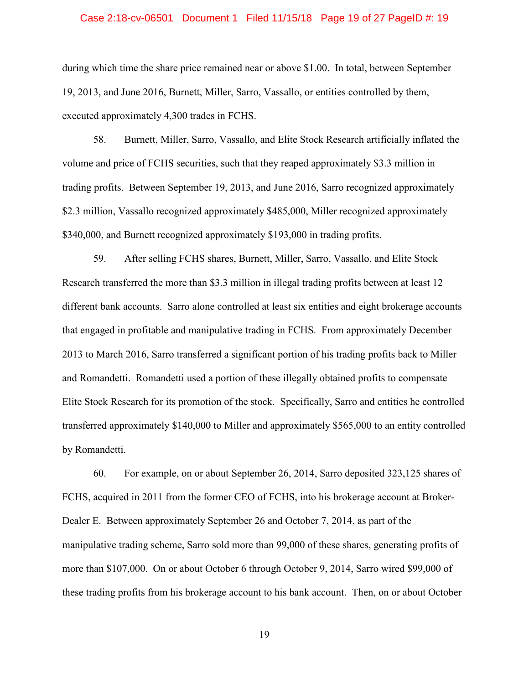#### Case 2:18-cv-06501 Document 1 Filed 11/15/18 Page 19 of 27 PageID #: 19

during which time the share price remained near or above \$1.00. In total, between September 19, 2013, and June 2016, Burnett, Miller, Sarro, Vassallo, or entities controlled by them, executed approximately 4,300 trades in FCHS.

 volume and price of FCHS securities, such that they reaped approximately \$3.3 million in 58. Burnett, Miller, Sarro, Vassallo, and Elite Stock Research artificially inflated the trading profits. Between September 19, 2013, and June 2016, Sarro recognized approximately \$2.3 million, Vassallo recognized approximately \$485,000, Miller recognized approximately \$340,000, and Burnett recognized approximately \$193,000 in trading profits.

59. After selling FCHS shares, Burnett, Miller, Sarro, Vassallo, and Elite Stock Research transferred the more than \$3.3 million in illegal trading profits between at least 12 different bank accounts. Sarro alone controlled at least six entities and eight brokerage accounts that engaged in profitable and manipulative trading in FCHS. From approximately December 2013 to March 2016, Sarro transferred a significant portion of his trading profits back to Miller and Romandetti. Romandetti used a portion of these illegally obtained profits to compensate Elite Stock Research for its promotion of the stock. Specifically, Sarro and entities he controlled transferred approximately \$140,000 to Miller and approximately \$565,000 to an entity controlled by Romandetti.

 Dealer E. Between approximately September 26 and October 7, 2014, as part of the these trading profits from his brokerage account to his bank account. Then, on or about October 60. For example, on or about September 26, 2014, Sarro deposited 323,125 shares of FCHS, acquired in 2011 from the former CEO of FCHS, into his brokerage account at Brokermanipulative trading scheme, Sarro sold more than 99,000 of these shares, generating profits of more than \$107,000. On or about October 6 through October 9, 2014, Sarro wired \$99,000 of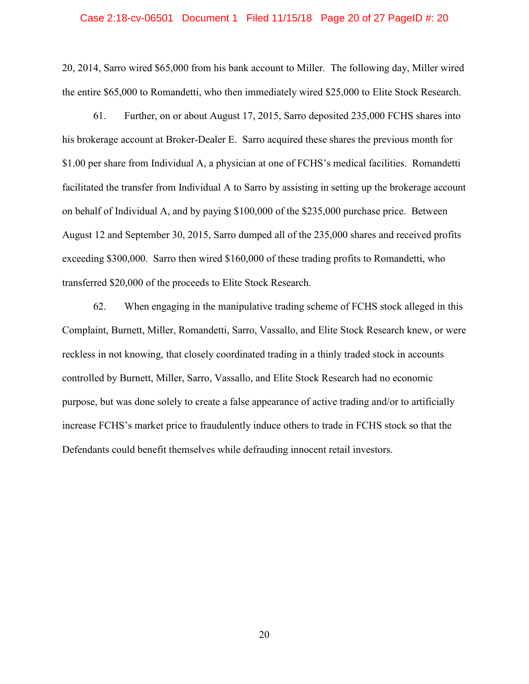#### Case 2:18-cv-06501 Document 1 Filed 11/15/18 Page 20 of 27 PageID #: 20

20, 2014, Sarro wired \$65,000 from his bank account to Miller. The following day, Miller wired the entire \$65,000 to Romandetti, who then immediately wired \$25,000 to Elite Stock Research.

 his brokerage account at Broker-Dealer E. Sarro acquired these shares the previous month for facilitated the transfer from Individual A to Sarro by assisting in setting up the brokerage account on behalf of Individual A, and by paying \$100,000 of the \$235,000 purchase price. Between transferred \$20,000 of the proceeds to Elite Stock Research. 61. Further, on or about August 17, 2015, Sarro deposited 235,000 FCHS shares into \$1.00 per share from Individual A, a physician at one of FCHS's medical facilities. Romandetti August 12 and September 30, 2015, Sarro dumped all of the 235,000 shares and received profits exceeding \$300,000. Sarro then wired \$160,000 of these trading profits to Romandetti, who

 purpose, but was done solely to create a false appearance of active trading and/or to artificially 62. When engaging in the manipulative trading scheme of FCHS stock alleged in this Complaint, Burnett, Miller, Romandetti, Sarro, Vassallo, and Elite Stock Research knew, or were reckless in not knowing, that closely coordinated trading in a thinly traded stock in accounts controlled by Burnett, Miller, Sarro, Vassallo, and Elite Stock Research had no economic increase FCHS's market price to fraudulently induce others to trade in FCHS stock so that the Defendants could benefit themselves while defrauding innocent retail investors.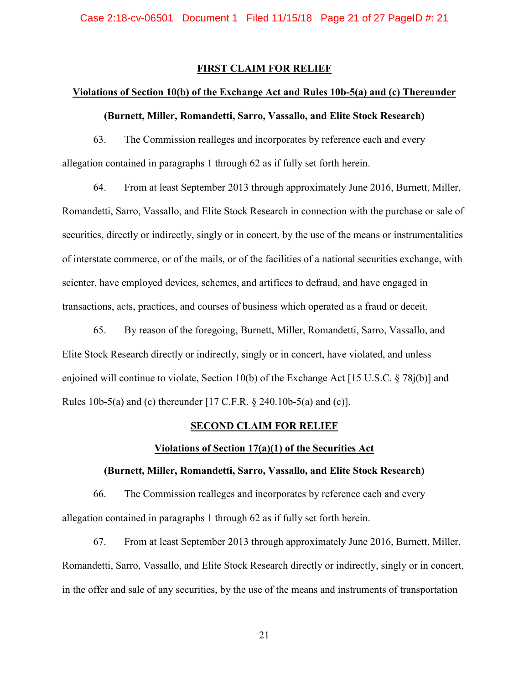## **FIRST CLAIM FOR RELIEF**

# **Violations of Section 10(b) of the Exchange Act and Rules 10b-5(a) and (c) Thereunder (Burnett, Miller, Romandetti, Sarro, Vassallo, and Elite Stock Research)**

 63. The Commission realleges and incorporates by reference each and every allegation contained in paragraphs 1 through 62 as if fully set forth herein.

64. From at least September 2013 through approximately June 2016, Burnett, Miller, Romandetti, Sarro, Vassallo, and Elite Stock Research in connection with the purchase or sale of securities, directly or indirectly, singly or in concert, by the use of the means or instrumentalities of interstate commerce, or of the mails, or of the facilities of a national securities exchange, with scienter, have employed devices, schemes, and artifices to defraud, and have engaged in transactions, acts, practices, and courses of business which operated as a fraud or deceit.

 Rules 10b-5(a) and (c) thereunder [17 C.F.R. § 240.10b-5(a) and (c)]. 65. By reason of the foregoing, Burnett, Miller, Romandetti, Sarro, Vassallo, and Elite Stock Research directly or indirectly, singly or in concert, have violated, and unless enjoined will continue to violate, Section 10(b) of the Exchange Act [15 U.S.C. § 78j(b)] and

#### **SECOND CLAIM FOR RELIEF**

## **Violations of Section 17(a)(1) of the Securities Act**

# **(Burnett, Miller, Romandetti, Sarro, Vassallo, and Elite Stock Research)**

 66. The Commission realleges and incorporates by reference each and every allegation contained in paragraphs 1 through 62 as if fully set forth herein.

 in the offer and sale of any securities, by the use of the means and instruments of transportation 67. From at least September 2013 through approximately June 2016, Burnett, Miller, Romandetti, Sarro, Vassallo, and Elite Stock Research directly or indirectly, singly or in concert,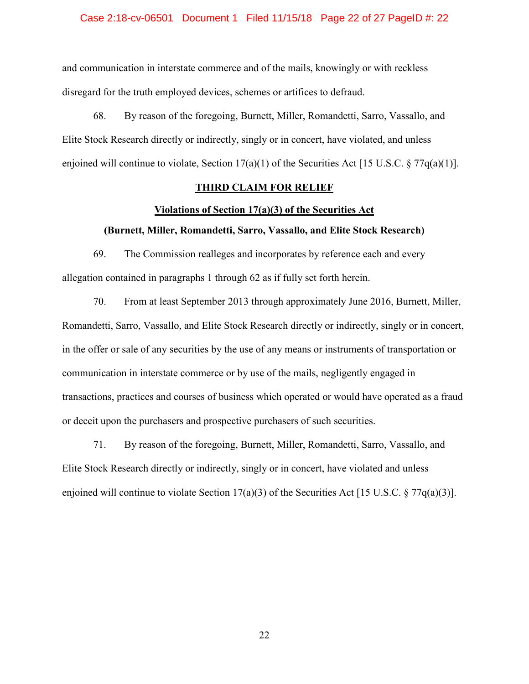#### Case 2:18-cv-06501 Document 1 Filed 11/15/18 Page 22 of 27 PageID #: 22

and communication in interstate commerce and of the mails, knowingly or with reckless disregard for the truth employed devices, schemes or artifices to defraud.

 68. By reason of the foregoing, Burnett, Miller, Romandetti, Sarro, Vassallo, and Elite Stock Research directly or indirectly, singly or in concert, have violated, and unless enjoined will continue to violate, Section 17(a)(1) of the Securities Act [15 U.S.C.  $\S 77q(a)(1)$ ].

# **THIRD CLAIM FOR RELIEF**

## **Violations of Section 17(a)(3) of the Securities Act**

## **(Burnett, Miller, Romandetti, Sarro, Vassallo, and Elite Stock Research)**

 69. The Commission realleges and incorporates by reference each and every allegation contained in paragraphs 1 through 62 as if fully set forth herein.

70. From at least September 2013 through approximately June 2016, Burnett, Miller, Romandetti, Sarro, Vassallo, and Elite Stock Research directly or indirectly, singly or in concert, in the offer or sale of any securities by the use of any means or instruments of transportation or communication in interstate commerce or by use of the mails, negligently engaged in transactions, practices and courses of business which operated or would have operated as a fraud or deceit upon the purchasers and prospective purchasers of such securities.

71. By reason of the foregoing, Burnett, Miller, Romandetti, Sarro, Vassallo, and Elite Stock Research directly or indirectly, singly or in concert, have violated and unless enjoined will continue to violate Section  $17(a)(3)$  of the Securities Act [15 U.S.C. § 77 $q(a)(3)$ ].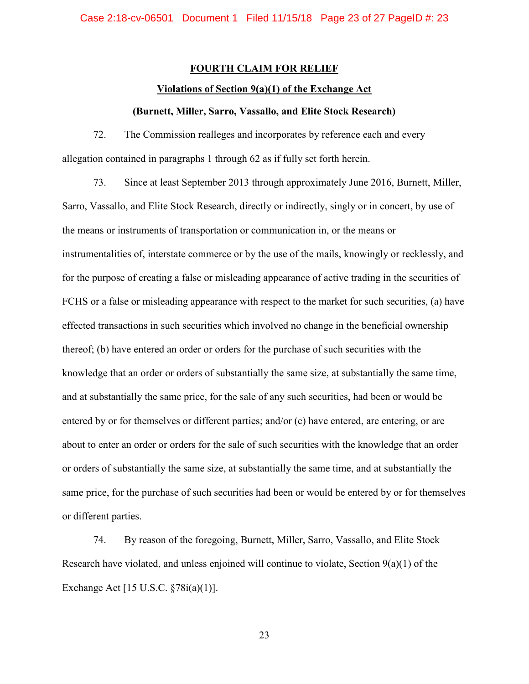## **FOURTH CLAIM FOR RELIEF**

## **Violations of Section 9(a)(1) of the Exchange Act**

#### **(Burnett, Miller, Sarro, Vassallo, and Elite Stock Research)**

 72. The Commission realleges and incorporates by reference each and every allegation contained in paragraphs 1 through 62 as if fully set forth herein.

 thereof; (b) have entered an order or orders for the purchase of such securities with the 73. Since at least September 2013 through approximately June 2016, Burnett, Miller, Sarro, Vassallo, and Elite Stock Research, directly or indirectly, singly or in concert, by use of the means or instruments of transportation or communication in, or the means or instrumentalities of, interstate commerce or by the use of the mails, knowingly or recklessly, and for the purpose of creating a false or misleading appearance of active trading in the securities of FCHS or a false or misleading appearance with respect to the market for such securities, (a) have effected transactions in such securities which involved no change in the beneficial ownership knowledge that an order or orders of substantially the same size, at substantially the same time, and at substantially the same price, for the sale of any such securities, had been or would be entered by or for themselves or different parties; and/or (c) have entered, are entering, or are about to enter an order or orders for the sale of such securities with the knowledge that an order or orders of substantially the same size, at substantially the same time, and at substantially the same price, for the purchase of such securities had been or would be entered by or for themselves or different parties.

74. By reason of the foregoing, Burnett, Miller, Sarro, Vassallo, and Elite Stock Research have violated, and unless enjoined will continue to violate, Section 9(a)(1) of the Exchange Act [15 U.S.C. §78i(a)(1)].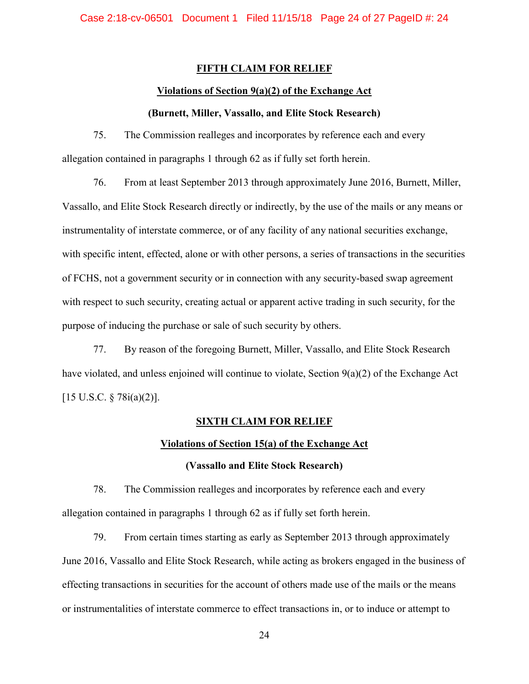## **FIFTH CLAIM FOR RELIEF**

## **Violations of Section 9(a)(2) of the Exchange Act**

#### **(Burnett, Miller, Vassallo, and Elite Stock Research)**

 75. The Commission realleges and incorporates by reference each and every allegation contained in paragraphs 1 through 62 as if fully set forth herein.

 of FCHS, not a government security or in connection with any security-based swap agreement 76. From at least September 2013 through approximately June 2016, Burnett, Miller, Vassallo, and Elite Stock Research directly or indirectly, by the use of the mails or any means or instrumentality of interstate commerce, or of any facility of any national securities exchange, with specific intent, effected, alone or with other persons, a series of transactions in the securities with respect to such security, creating actual or apparent active trading in such security, for the purpose of inducing the purchase or sale of such security by others.

 77. By reason of the foregoing Burnett, Miller, Vassallo, and Elite Stock Research have violated, and unless enjoined will continue to violate, Section 9(a)(2) of the Exchange Act  $[15 \text{ U.S.C. } § 78i(a)(2)].$ 

## **SIXTH CLAIM FOR RELIEF**

# **Violations of Section 15(a) of the Exchange Act**

## **(Vassallo and Elite Stock Research)**

 78. The Commission realleges and incorporates by reference each and every allegation contained in paragraphs 1 through 62 as if fully set forth herein.

 79. From certain times starting as early as September 2013 through approximately June 2016, Vassallo and Elite Stock Research, while acting as brokers engaged in the business of effecting transactions in securities for the account of others made use of the mails or the means or instrumentalities of interstate commerce to effect transactions in, or to induce or attempt to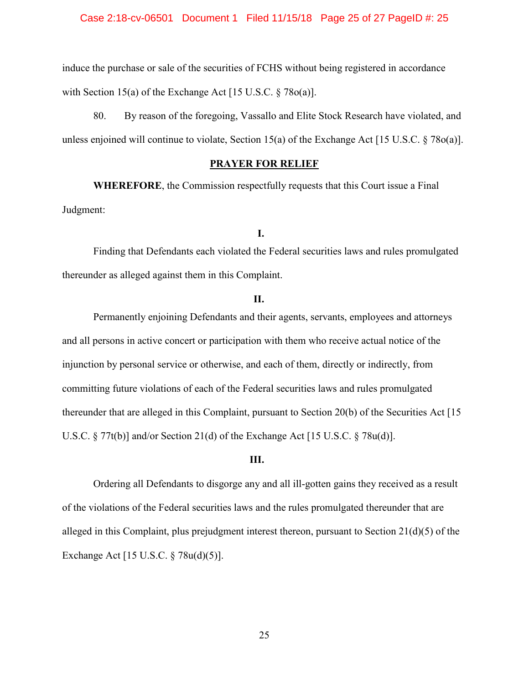#### Case 2:18-cv-06501 Document 1 Filed 11/15/18 Page 25 of 27 PageID #: 25

 with Section 15(a) of the Exchange Act [15 U.S.C. § 78o(a)]. induce the purchase or sale of the securities of FCHS without being registered in accordance

 80. By reason of the foregoing, Vassallo and Elite Stock Research have violated, and unless enjoined will continue to violate, Section 15(a) of the Exchange Act [15 U.S.C. § 78o(a)].

## **PRAYER FOR RELIEF**

**WHEREFORE**, the Commission respectfully requests that this Court issue a Final Judgment:

## **I.**

 thereunder as alleged against them in this Complaint. Finding that Defendants each violated the Federal securities laws and rules promulgated

## **II.**

U.S.C. § 77t(b)] and/or Section 21(d) of the Exchange Act [15 U.S.C. § 78u(d)]. Permanently enjoining Defendants and their agents, servants, employees and attorneys and all persons in active concert or participation with them who receive actual notice of the injunction by personal service or otherwise, and each of them, directly or indirectly, from committing future violations of each of the Federal securities laws and rules promulgated thereunder that are alleged in this Complaint, pursuant to Section 20(b) of the Securities Act [15

#### **III.**

 Ordering all Defendants to disgorge any and all ill-gotten gains they received as a result of the violations of the Federal securities laws and the rules promulgated thereunder that are alleged in this Complaint, plus prejudgment interest thereon, pursuant to Section 21(d)(5) of the Exchange Act [15 U.S.C. § 78u(d)(5)].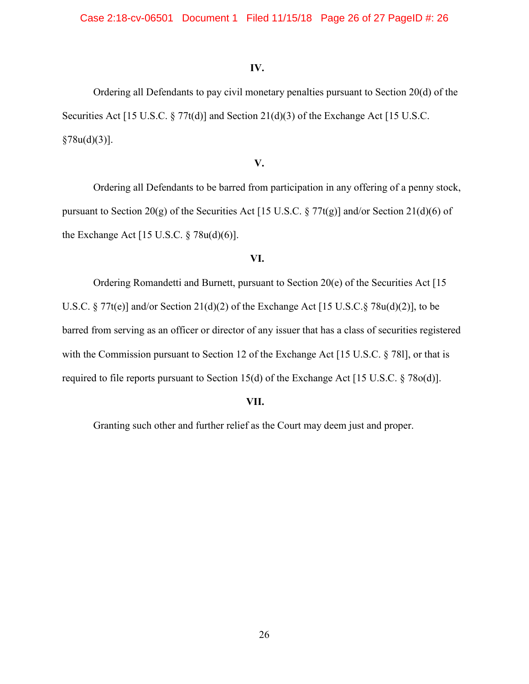## **IV.**

Ordering all Defendants to pay civil monetary penalties pursuant to Section 20(d) of the Securities Act [15 U.S.C. § 77t(d)] and Section 21(d)(3) of the Exchange Act [15 U.S.C.  $§78u(d)(3)]$ .

# **V.**

Ordering all Defendants to be barred from participation in any offering of a penny stock, pursuant to Section 20(g) of the Securities Act [15 U.S.C. § 77t(g)] and/or Section 21(d)(6) of the Exchange Act  $[15 \text{ U.S.C.} \$   $[78u(d)(6)]$ .

# **VI.**

 Ordering Romandetti and Burnett, pursuant to Section 20(e) of the Securities Act [15 U.S.C. § 77t(e)] and/or Section 21(d)(2) of the Exchange Act [15 U.S.C.§ 78u(d)(2)], to be barred from serving as an officer or director of any issuer that has a class of securities registered with the Commission pursuant to Section 12 of the Exchange Act [15 U.S.C. § 781], or that is required to file reports pursuant to Section 15(d) of the Exchange Act [15 U.S.C. § 78o(d)].

#### **VII.**

Granting such other and further relief as the Court may deem just and proper.